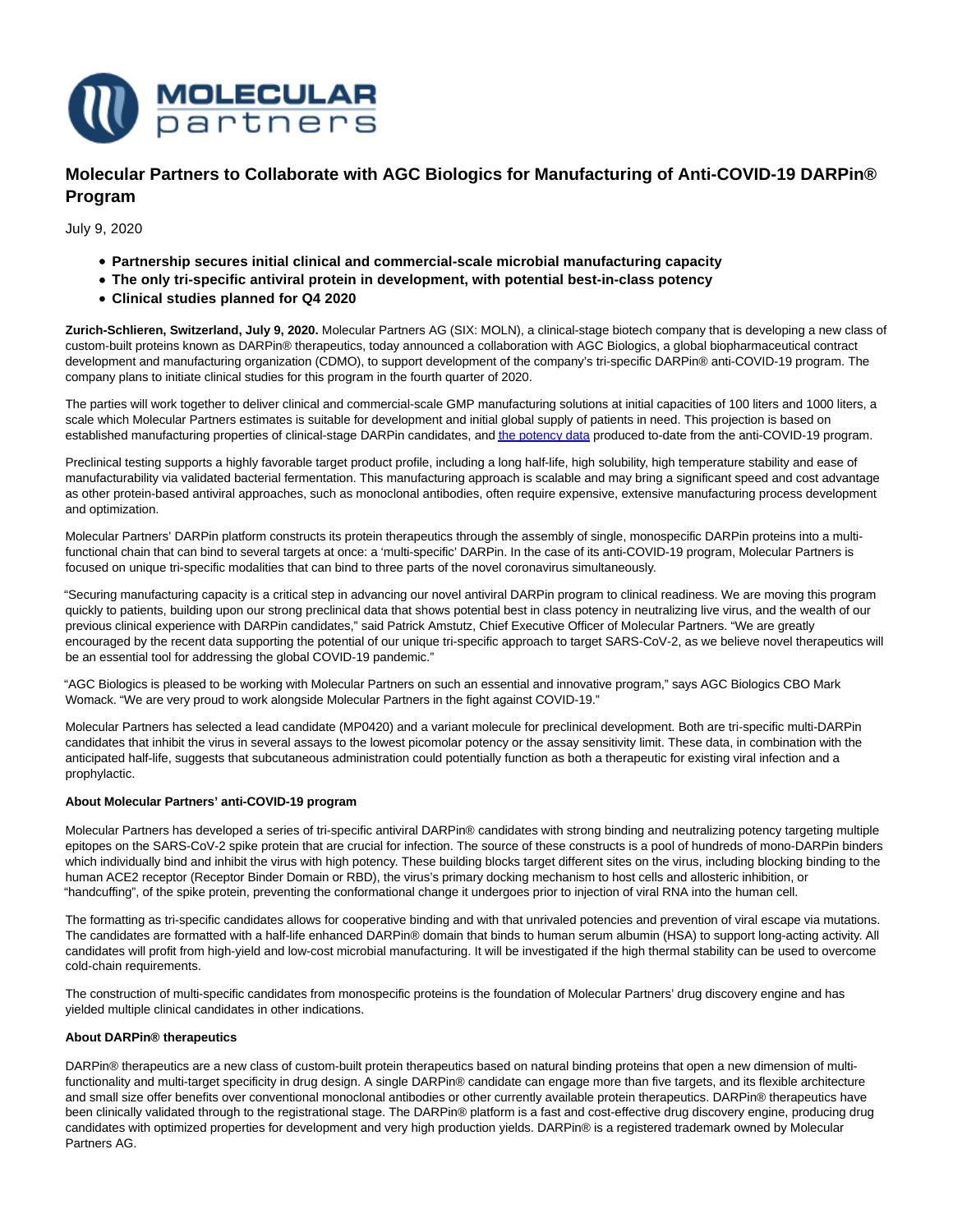

**Molecular Partners to Collaborate with AGC Biologics for Manufacturing of Anti-COVID-19 DARPin® Program**

July 9, 2020

- **Partnership secures initial clinical and commercial-scale microbial manufacturing capacity**
- **The only tri-specific antiviral protein in development, with potential best-in-class potency**
- **Clinical studies planned for Q4 2020**

**Zurich-Schlieren, Switzerland, July 9, 2020.** Molecular Partners AG (SIX: MOLN), a clinical-stage biotech company that is developing a new class of custom-built proteins known as DARPin® therapeutics, today announced a collaboration with AGC Biologics, a global biopharmaceutical contract development and manufacturing organization (CDMO), to support development of the company's tri-specific DARPin® anti-COVID-19 program. The company plans to initiate clinical studies for this program in the fourth quarter of 2020.

The parties will work together to deliver clinical and commercial-scale GMP manufacturing solutions at initial capacities of 100 liters and 1000 liters, a scale which Molecular Partners estimates is suitable for development and initial global supply of patients in need. This projection is based on established manufacturing properties of clinical-stage DARPin candidates, an[d the potency data p](https://www.molecularpartners.com/molecular-partners-confirms-ultra-potent-inhibition-of-sars-cov-2-live-virus-by-anti-covid-19-darpin-candidates/)roduced to-date from the anti-COVID-19 program.

Preclinical testing supports a highly favorable target product profile, including a long half-life, high solubility, high temperature stability and ease of manufacturability via validated bacterial fermentation. This manufacturing approach is scalable and may bring a significant speed and cost advantage as other protein-based antiviral approaches, such as monoclonal antibodies, often require expensive, extensive manufacturing process development and optimization.

Molecular Partners' DARPin platform constructs its protein therapeutics through the assembly of single, monospecific DARPin proteins into a multifunctional chain that can bind to several targets at once: a 'multi-specific' DARPin. In the case of its anti-COVID-19 program, Molecular Partners is focused on unique tri-specific modalities that can bind to three parts of the novel coronavirus simultaneously.

"Securing manufacturing capacity is a critical step in advancing our novel antiviral DARPin program to clinical readiness. We are moving this program quickly to patients, building upon our strong preclinical data that shows potential best in class potency in neutralizing live virus, and the wealth of our previous clinical experience with DARPin candidates," said Patrick Amstutz, Chief Executive Officer of Molecular Partners. "We are greatly encouraged by the recent data supporting the potential of our unique tri-specific approach to target SARS-CoV-2, as we believe novel therapeutics will be an essential tool for addressing the global COVID-19 pandemic."

"AGC Biologics is pleased to be working with Molecular Partners on such an essential and innovative program," says AGC Biologics CBO Mark Womack. "We are very proud to work alongside Molecular Partners in the fight against COVID-19."

Molecular Partners has selected a lead candidate (MP0420) and a variant molecule for preclinical development. Both are tri-specific multi-DARPin candidates that inhibit the virus in several assays to the lowest picomolar potency or the assay sensitivity limit. These data, in combination with the anticipated half-life, suggests that subcutaneous administration could potentially function as both a therapeutic for existing viral infection and a prophylactic.

### **About Molecular Partners' anti-COVID-19 program**

Molecular Partners has developed a series of tri-specific antiviral DARPin® candidates with strong binding and neutralizing potency targeting multiple epitopes on the SARS-CoV-2 spike protein that are crucial for infection. The source of these constructs is a pool of hundreds of mono-DARPin binders which individually bind and inhibit the virus with high potency. These building blocks target different sites on the virus, including blocking binding to the human ACE2 receptor (Receptor Binder Domain or RBD), the virus's primary docking mechanism to host cells and allosteric inhibition, or "handcuffing", of the spike protein, preventing the conformational change it undergoes prior to injection of viral RNA into the human cell.

The formatting as tri-specific candidates allows for cooperative binding and with that unrivaled potencies and prevention of viral escape via mutations. The candidates are formatted with a half-life enhanced DARPin® domain that binds to human serum albumin (HSA) to support long-acting activity. All candidates will profit from high-yield and low-cost microbial manufacturing. It will be investigated if the high thermal stability can be used to overcome cold-chain requirements.

The construction of multi-specific candidates from monospecific proteins is the foundation of Molecular Partners' drug discovery engine and has yielded multiple clinical candidates in other indications.

## **About DARPin® therapeutics**

DARPin® therapeutics are a new class of custom-built protein therapeutics based on natural binding proteins that open a new dimension of multifunctionality and multi-target specificity in drug design. A single DARPin® candidate can engage more than five targets, and its flexible architecture and small size offer benefits over conventional monoclonal antibodies or other currently available protein therapeutics. DARPin® therapeutics have been clinically validated through to the registrational stage. The DARPin® platform is a fast and cost-effective drug discovery engine, producing drug candidates with optimized properties for development and very high production yields. DARPin® is a registered trademark owned by Molecular Partners AG.